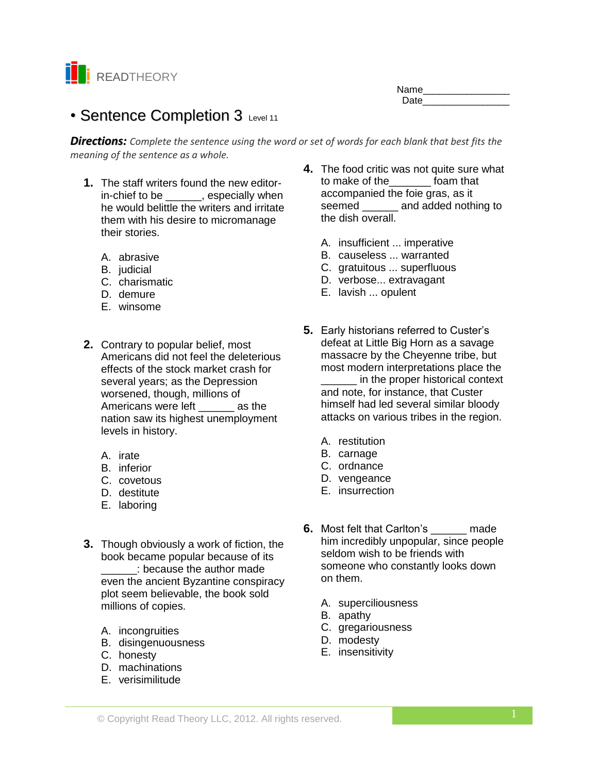

Name\_\_\_\_\_\_\_\_\_\_\_\_\_\_\_\_ Date **Date** 

# • Sentence Completion 3 Level 11

*Directions: Complete the sentence using the word or set of words for each blank that best fits the meaning of the sentence as a whole.*

- **1.** The staff writers found the new editorin-chief to be \_\_\_\_\_, especially when he would belittle the writers and irritate them with his desire to micromanage their stories.
	- A. abrasive
	- B. judicial
	- C. charismatic
	- D. demure
	- E. winsome
- **2.** Contrary to popular belief, most Americans did not feel the deleterious effects of the stock market crash for several years; as the Depression worsened, though, millions of Americans were left as the nation saw its highest unemployment levels in history.
	- A. irate
	- B. inferior
	- C. covetous
	- D. destitute
	- E. laboring
- **3.** Though obviously a work of fiction, the book became popular because of its \_\_\_\_\_\_: because the author made even the ancient Byzantine conspiracy plot seem believable, the book sold millions of copies.
	- A. incongruities
	- B. disingenuousness
	- C. honesty
	- D. machinations
	- E. verisimilitude
- **4.** The food critic was not quite sure what to make of the\_\_\_\_\_\_\_ foam that accompanied the foie gras, as it seemed and added nothing to the dish overall.
	- A. insufficient ... imperative
	- B. causeless ... warranted
	- C. gratuitous ... superfluous
	- D. verbose... extravagant
	- E. lavish ... opulent
- **5.** Early historians referred to Custer's defeat at Little Big Horn as a savage massacre by the Cheyenne tribe, but most modern interpretations place the

\_\_\_\_\_\_ in the proper historical context and note, for instance, that Custer himself had led several similar bloody attacks on various tribes in the region.

- A. restitution
- B. carnage
- C. ordnance
- D. vengeance
- E. insurrection
- **6.** Most felt that Carlton's made him incredibly unpopular, since people seldom wish to be friends with someone who constantly looks down on them.
	- A. superciliousness
	- B. apathy
	- C. gregariousness
	- D. modesty
	- E. insensitivity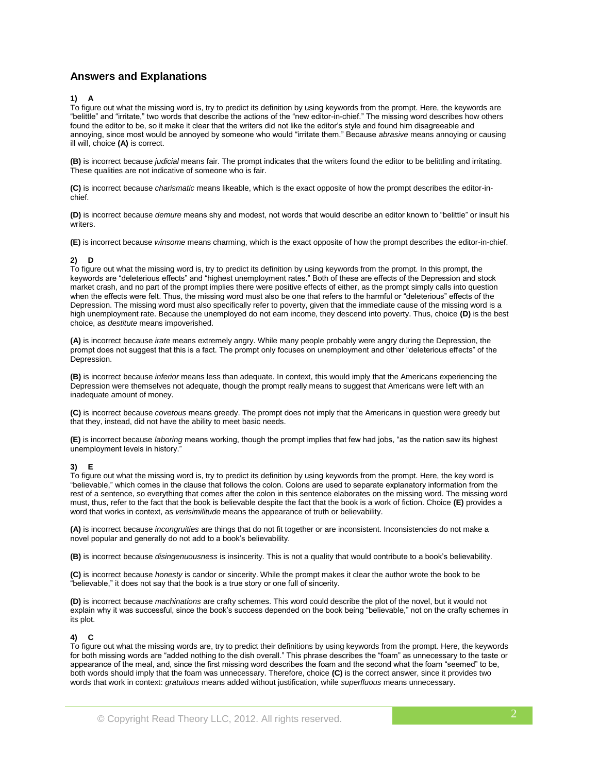# **Answers and Explanations**

### **1) A**

To figure out what the missing word is, try to predict its definition by using keywords from the prompt. Here, the keywords are "belittle" and "irritate," two words that describe the actions of the "new editor-in-chief." The missing word describes how others found the editor to be, so it make it clear that the writers did not like the editor's style and found him disagreeable and annoying, since most would be annoyed by someone who would "irritate them." Because *abrasive* means annoying or causing ill will, choice **(A)** is correct.

**(B)** is incorrect because *judicial* means fair. The prompt indicates that the writers found the editor to be belittling and irritating. These qualities are not indicative of someone who is fair.

**(C)** is incorrect because *charismatic* means likeable, which is the exact opposite of how the prompt describes the editor-inchief.

**(D)** is incorrect because *demure* means shy and modest, not words that would describe an editor known to "belittle" or insult his writers.

**(E)** is incorrect because *winsome* means charming, which is the exact opposite of how the prompt describes the editor-in-chief.

# **2) D**

To figure out what the missing word is, try to predict its definition by using keywords from the prompt. In this prompt, the keywords are "deleterious effects" and "highest unemployment rates." Both of these are effects of the Depression and stock market crash, and no part of the prompt implies there were positive effects of either, as the prompt simply calls into question when the effects were felt. Thus, the missing word must also be one that refers to the harmful or "deleterious" effects of the Depression. The missing word must also specifically refer to poverty, given that the immediate cause of the missing word is a high unemployment rate. Because the unemployed do not earn income, they descend into poverty. Thus, choice **(D)** is the best choice, as *destitute* means impoverished.

**(A)** is incorrect because *irate* means extremely angry. While many people probably were angry during the Depression, the prompt does not suggest that this is a fact. The prompt only focuses on unemployment and other "deleterious effects" of the Depression.

**(B)** is incorrect because *inferior* means less than adequate. In context, this would imply that the Americans experiencing the Depression were themselves not adequate, though the prompt really means to suggest that Americans were left with an inadequate amount of money.

**(C)** is incorrect because *covetous* means greedy. The prompt does not imply that the Americans in question were greedy but that they, instead, did not have the ability to meet basic needs.

**(E)** is incorrect because *laboring* means working, though the prompt implies that few had jobs, "as the nation saw its highest unemployment levels in history."

#### **3) E**

To figure out what the missing word is, try to predict its definition by using keywords from the prompt. Here, the key word is "believable," which comes in the clause that follows the colon. Colons are used to separate explanatory information from the rest of a sentence, so everything that comes after the colon in this sentence elaborates on the missing word. The missing word must, thus, refer to the fact that the book is believable despite the fact that the book is a work of fiction. Choice **(E)** provides a word that works in context, as *verisimilitude* means the appearance of truth or believability.

**(A)** is incorrect because *incongruities* are things that do not fit together or are inconsistent. Inconsistencies do not make a novel popular and generally do not add to a book's believability.

**(B)** is incorrect because *disingenuousness* is insincerity. This is not a quality that would contribute to a book's believability.

**(C)** is incorrect because *honesty* is candor or sincerity. While the prompt makes it clear the author wrote the book to be "believable," it does not say that the book is a true story or one full of sincerity.

**(D)** is incorrect because *machinations* are crafty schemes. This word could describe the plot of the novel, but it would not explain why it was successful, since the book's success depended on the book being "believable," not on the crafty schemes in its plot.

# **4) C**

To figure out what the missing words are, try to predict their definitions by using keywords from the prompt. Here, the keywords for both missing words are "added nothing to the dish overall." This phrase describes the "foam" as unnecessary to the taste or appearance of the meal, and, since the first missing word describes the foam and the second what the foam "seemed" to be, both words should imply that the foam was unnecessary. Therefore, choice **(C)** is the correct answer, since it provides two words that work in context: *gratuitous* means added without justification, while *superfluous* means unnecessary.